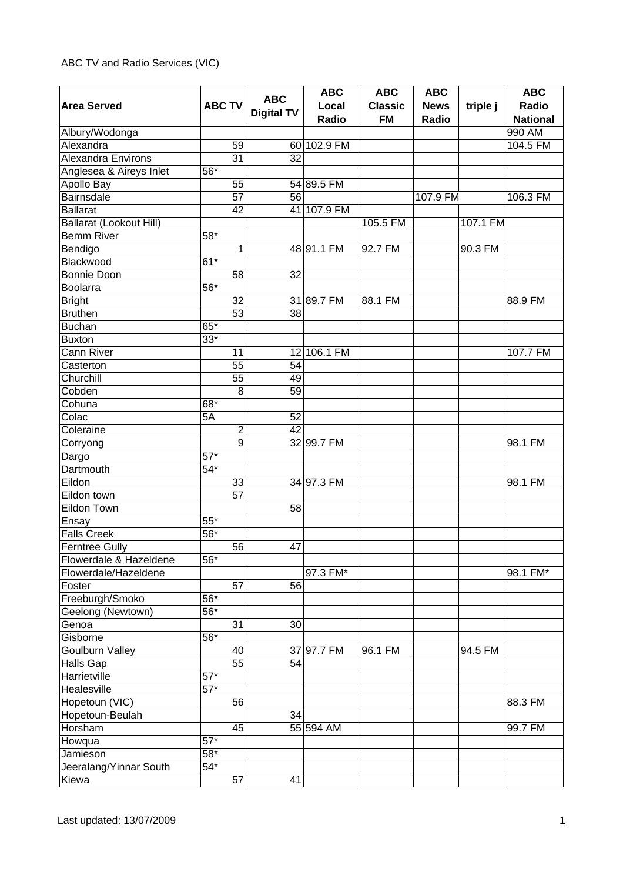## ABC TV and Radio Services (VIC)

|                                |                   |                   | <b>ABC</b>  | <b>ABC</b>     | <b>ABC</b>  |          | <b>ABC</b>      |
|--------------------------------|-------------------|-------------------|-------------|----------------|-------------|----------|-----------------|
| <b>Area Served</b>             | <b>ABC TV</b>     | <b>ABC</b>        | Local       | <b>Classic</b> | <b>News</b> | triple j | Radio           |
|                                |                   | <b>Digital TV</b> | Radio       | <b>FM</b>      | Radio       |          | <b>National</b> |
| Albury/Wodonga                 |                   |                   |             |                |             |          | 990 AM          |
| Alexandra                      | 59                |                   | 60 102.9 FM |                |             |          | 104.5 FM        |
| <b>Alexandra Environs</b>      | 31                | 32                |             |                |             |          |                 |
| Anglesea & Aireys Inlet        | $56*$             |                   |             |                |             |          |                 |
| Apollo Bay                     | 55                |                   | 54 89.5 FM  |                |             |          |                 |
| <b>Bairnsdale</b>              | 57                | 56                |             |                | 107.9 FM    |          | 106.3 FM        |
| <b>Ballarat</b>                | 42                |                   | 41 107.9 FM |                |             |          |                 |
| <b>Ballarat (Lookout Hill)</b> |                   |                   |             | 105.5 FM       |             | 107.1 FM |                 |
| <b>Bemm River</b>              | $58*$             |                   |             |                |             |          |                 |
| Bendigo                        | 1                 |                   | 48 91.1 FM  | 92.7 FM        |             | 90.3 FM  |                 |
| Blackwood                      | $61*$             |                   |             |                |             |          |                 |
| Bonnie Doon                    | 58                | 32                |             |                |             |          |                 |
| Boolarra                       | 56*               |                   |             |                |             |          |                 |
| <b>Bright</b>                  | 32                |                   | 31 89.7 FM  | 88.1 FM        |             |          | 88.9 FM         |
| <b>Bruthen</b>                 | 53                | 38                |             |                |             |          |                 |
| <b>Buchan</b>                  | 65*               |                   |             |                |             |          |                 |
| <b>Buxton</b>                  | $33*$             |                   |             |                |             |          |                 |
| Cann River                     | 11                |                   | 12 106.1 FM |                |             |          | 107.7 FM        |
| Casterton                      | 55                | 54                |             |                |             |          |                 |
| Churchill                      | 55                | 49                |             |                |             |          |                 |
| Cobden                         | 8                 | 59                |             |                |             |          |                 |
| Cohuna                         | 68*               |                   |             |                |             |          |                 |
| Colac                          | 5A                | 52                |             |                |             |          |                 |
| Coleraine                      | $\mathbf 2$       | 42                |             |                |             |          |                 |
| Corryong                       | $\overline{9}$    |                   | 32 99.7 FM  |                |             |          | 98.1 FM         |
| Dargo                          | $57*$             |                   |             |                |             |          |                 |
| Dartmouth                      | $54*$             |                   |             |                |             |          |                 |
| Eildon                         | 33                |                   | 34 97.3 FM  |                |             |          | 98.1 FM         |
| Eildon town                    | 57                |                   |             |                |             |          |                 |
| Eildon Town                    |                   | 58                |             |                |             |          |                 |
| Ensay                          | $55*$             |                   |             |                |             |          |                 |
| <b>Falls Creek</b>             | 56*               |                   |             |                |             |          |                 |
| <b>Ferntree Gully</b>          | 56                | 47                |             |                |             |          |                 |
| Flowerdale & Hazeldene         | 56*               |                   |             |                |             |          |                 |
| Flowerdale/Hazeldene           |                   |                   | 97.3 FM*    |                |             |          | 98.1 FM*        |
| Foster                         | 57                | 56                |             |                |             |          |                 |
| Freeburgh/Smoko                | 56*               |                   |             |                |             |          |                 |
| Geelong (Newtown)              | 56*               |                   |             |                |             |          |                 |
| Genoa                          | 31                | 30                |             |                |             |          |                 |
| Gisborne                       | 56*               |                   |             |                |             |          |                 |
| <b>Goulburn Valley</b>         | 40                |                   | 37 97.7 FM  | 96.1 FM        |             | 94.5 FM  |                 |
| Halls Gap                      | 55                | 54                |             |                |             |          |                 |
| Harrietville                   | $57*$             |                   |             |                |             |          |                 |
| Healesville                    | $57*$             |                   |             |                |             |          |                 |
| Hopetoun (VIC)                 | 56                |                   |             |                |             |          | 88.3 FM         |
| Hopetoun-Beulah                |                   | 34                |             |                |             |          |                 |
| Horsham                        | 45                |                   | 55 594 AM   |                |             |          | 99.7 FM         |
| Howqua                         | $\overline{57}^*$ |                   |             |                |             |          |                 |
| Jamieson                       | $58*$             |                   |             |                |             |          |                 |
| Jeeralang/Yinnar South         | $54*$             |                   |             |                |             |          |                 |
| Kiewa                          | 57                | 41                |             |                |             |          |                 |